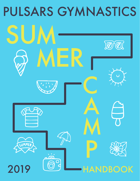# PULSARS GYMNASTICS

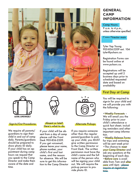



#### Sign-In/Out Procedures

We require all parents/ guardians to sign their child in and out of camp daily. Parents/guardians should be prepared to show photo ID daily. If your child has an appointment during camp hours we request that you speak to the Camp Director and make them aware of the date and time.



#### Absent or late? Here's what to do.

If your child will be absent from a day of camp please call the Front Desk 905-836-2209. If you get voicemail, please leave your name, phone number, your child's first and last name, and the reason for absence. We will be sure to get this information to the Camp Director



#### Alternate Pickups

If you require someone other than the regular parent/guardian to pick up your child, you MUST give written permission to the Camp Director or Front Desk. The written permission must have the child's name and the full name of the person who will be signing your child out. We will require the pick-up person to provide photo ID.

# **GENERAL CAMP INFORMATION**

### **Camp Hours:**

9 a.m. to 4 p.m., unless otherwise specified.

Camp Director main

Tyler Yap Young 905-836-2209 ext. 104 tyler@pulsars.ca

Registration Forms can be found online at www.pulsars.ca.

Registrations will be accepted up until 2 business days prior to scheduled requested date and based on availability

# First Day at Camp

You will be required to sign-in for your child and we will provide you with the following:

•Weekly Forecasts –

We will email you the Friday prior to your child's attendance a quick fact sheet; including reminders and other important camp information.

•Weekly Release Forms for trips and swimming will be sent week prior • The chance to meet your Camp Director and ask any questions at the beginning of each day. •Before care is available from 7am and after care until 6pm - please inquire at registration time.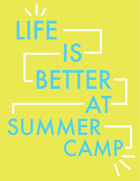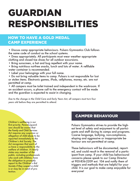# GUARDIAN RESPONSIBILITIES

# HOW TO HAVE A GOLD MEDAL CAMP EXPERIENCE

- Discuss camp appropriate behaviours. Pulsars Gymnastics Club follows the same code of conduct as the school systems.
- Dress appropriately. All participants must wear weather appropriate clothing and closed toe shoes for all outdoor excursions.
- Bring sunscreen, a hat and bug repellent with your name.
- Bring nutritious nut-free snacks, lunch and lots of water. A refillable water container is recommended.
- Label your belongings with your full name.
- Do not bring valuable items to camp. Pulsars is not responsible for lost or stolen items. Electronic games, iPods, cellphones, money, etc. are not permitted at camp.

• All campers must be toilet trained and independent in the washroom. If an accident occurs, a phone call to the emergency contact will be made and the guardian is expected to assist in changing.

*Due to the change in the Child Care and Early Years Act, all campers must turn four years old before they are permitted to attend.*

*Children's wellbeing is our first priority. Parents/guardians should be aware that the Family and Child Services Act requires any suspicion or allegation of child abuse to be reported immediately to the Children's Aid Society. The Act recognizes that each of us have a responsibility to the welfare of children. It clearly states any member of the public, including professionals who work with children, have the obligation to promptly report to the Children's Aid Society if they suspect a child is or may be in need of protection.*

# CAMPER BEHAVIOUR

Pulsars Gymnastics strives to provide the highest level of safety and enjoyment to all participants and staff during its camps and programs. Coarse language, bullying, non-compliance, eloping and aggressive or inappropriate behaviour are not permitted at camp.

These behaviours will be documented, reported, and could result in the removal of a participant from camp. If your child has behavioural concerns please speak to our Camp Director at 905-836-2209 ext. 104 and notify them of triggers and methods that are helpful for your child. It is our goal to make camp enjoyable for everyone!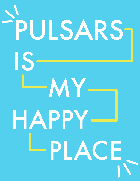